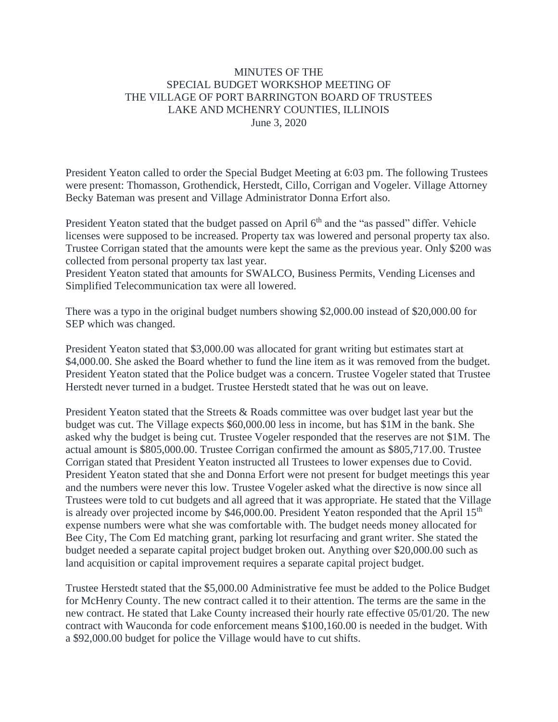## MINUTES OF THE SPECIAL BUDGET WORKSHOP MEETING OF THE VILLAGE OF PORT BARRINGTON BOARD OF TRUSTEES LAKE AND MCHENRY COUNTIES, ILLINOIS June 3, 2020

President Yeaton called to order the Special Budget Meeting at 6:03 pm. The following Trustees were present: Thomasson, Grothendick, Herstedt, Cillo, Corrigan and Vogeler. Village Attorney Becky Bateman was present and Village Administrator Donna Erfort also.

President Yeaton stated that the budget passed on April 6<sup>th</sup> and the "as passed" differ. Vehicle licenses were supposed to be increased. Property tax was lowered and personal property tax also. Trustee Corrigan stated that the amounts were kept the same as the previous year. Only \$200 was collected from personal property tax last year.

President Yeaton stated that amounts for SWALCO, Business Permits, Vending Licenses and Simplified Telecommunication tax were all lowered.

There was a typo in the original budget numbers showing \$2,000.00 instead of \$20,000.00 for SEP which was changed.

President Yeaton stated that \$3,000.00 was allocated for grant writing but estimates start at \$4,000.00. She asked the Board whether to fund the line item as it was removed from the budget. President Yeaton stated that the Police budget was a concern. Trustee Vogeler stated that Trustee Herstedt never turned in a budget. Trustee Herstedt stated that he was out on leave.

President Yeaton stated that the Streets & Roads committee was over budget last year but the budget was cut. The Village expects \$60,000.00 less in income, but has \$1M in the bank. She asked why the budget is being cut. Trustee Vogeler responded that the reserves are not \$1M. The actual amount is \$805,000.00. Trustee Corrigan confirmed the amount as \$805,717.00. Trustee Corrigan stated that President Yeaton instructed all Trustees to lower expenses due to Covid. President Yeaton stated that she and Donna Erfort were not present for budget meetings this year and the numbers were never this low. Trustee Vogeler asked what the directive is now since all Trustees were told to cut budgets and all agreed that it was appropriate. He stated that the Village is already over projected income by \$46,000.00. President Yeaton responded that the April 15<sup>th</sup> expense numbers were what she was comfortable with. The budget needs money allocated for Bee City, The Com Ed matching grant, parking lot resurfacing and grant writer. She stated the budget needed a separate capital project budget broken out. Anything over \$20,000.00 such as land acquisition or capital improvement requires a separate capital project budget.

Trustee Herstedt stated that the \$5,000.00 Administrative fee must be added to the Police Budget for McHenry County. The new contract called it to their attention. The terms are the same in the new contract. He stated that Lake County increased their hourly rate effective 05/01/20. The new contract with Wauconda for code enforcement means \$100,160.00 is needed in the budget. With a \$92,000.00 budget for police the Village would have to cut shifts.